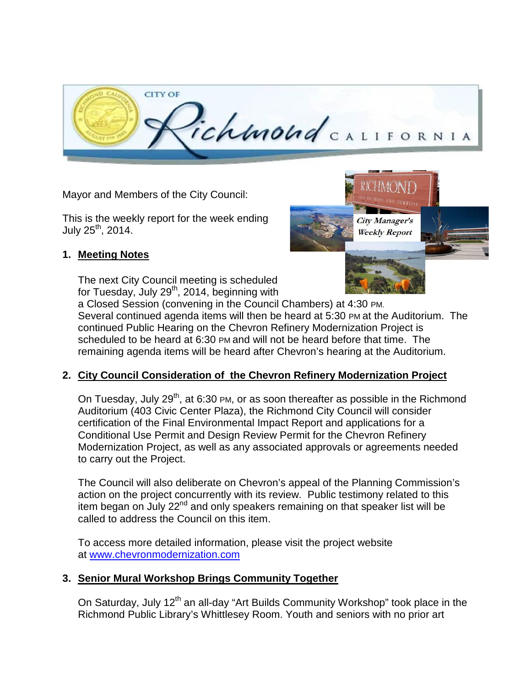

Mayor and Members of the City Council:

This is the weekly report for the week ending July  $25^{th}$ , 2014.

#### **1. Meeting Notes**

The next City Council meeting is scheduled for Tuesday, July 29<sup>th</sup>, 2014, beginning with



a Closed Session (convening in the Council Chambers) at 4:30 PM. Several continued agenda items will then be heard at 5:30 PM at the Auditorium. The continued Public Hearing on the Chevron Refinery Modernization Project is scheduled to be heard at 6:30 PM and will not be heard before that time. The remaining agenda items will be heard after Chevron's hearing at the Auditorium.

## **2. City Council Consideration of the Chevron Refinery Modernization Project**

On Tuesday, July 29<sup>th</sup>, at 6:30 PM, or as soon thereafter as possible in the Richmond Auditorium (403 Civic Center Plaza), the Richmond City Council will consider certification of the Final Environmental Impact Report and applications for a Conditional Use Permit and Design Review Permit for the Chevron Refinery Modernization Project, as well as any associated approvals or agreements needed to carry out the Project.

The Council will also deliberate on Chevron's appeal of the Planning Commission's action on the project concurrently with its review. Public testimony related to this item began on July  $22<sup>nd</sup>$  and only speakers remaining on that speaker list will be called to address the Council on this item.

To access more detailed information, please visit the project website at [www.chevronmodernization.com](http://www.chevronmodernization.com/)

## **3. Senior Mural Workshop Brings Community Together**

On Saturday, July 12<sup>th</sup> an all-day "Art Builds Community Workshop" took place in the Richmond Public Library's Whittlesey Room. Youth and seniors with no prior art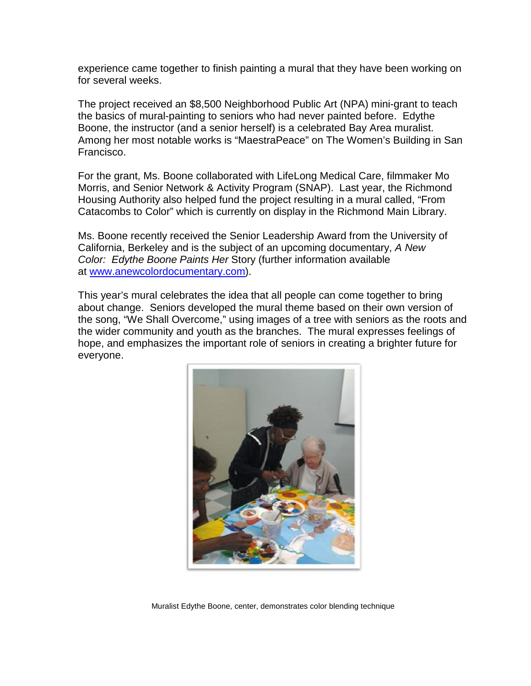experience came together to finish painting a mural that they have been working on for several weeks.

The project received an \$8,500 Neighborhood Public Art (NPA) mini-grant to teach the basics of mural-painting to seniors who had never painted before. Edythe Boone, the instructor (and a senior herself) is a celebrated Bay Area muralist. Among her most notable works is "MaestraPeace" on The Women's Building in San Francisco.

For the grant, Ms. Boone collaborated with LifeLong Medical Care, filmmaker Mo Morris, and Senior Network & Activity Program (SNAP). Last year, the Richmond Housing Authority also helped fund the project resulting in a mural called, "From Catacombs to Color" which is currently on display in the Richmond Main Library.

Ms. Boone recently received the Senior Leadership Award from the University of California, Berkeley and is the subject of an upcoming documentary, *A New Color: Edythe Boone Paints Her* Story (further information available at [www.anewcolordocumentary.com\)](http://www.anewcolordocumentary.com/).

This year's mural celebrates the idea that all people can come together to bring about change. Seniors developed the mural theme based on their own version of the song, "We Shall Overcome," using images of a tree with seniors as the roots and the wider community and youth as the branches. The mural expresses feelings of hope, and emphasizes the important role of seniors in creating a brighter future for everyone.



Muralist Edythe Boone, center, demonstrates color blending technique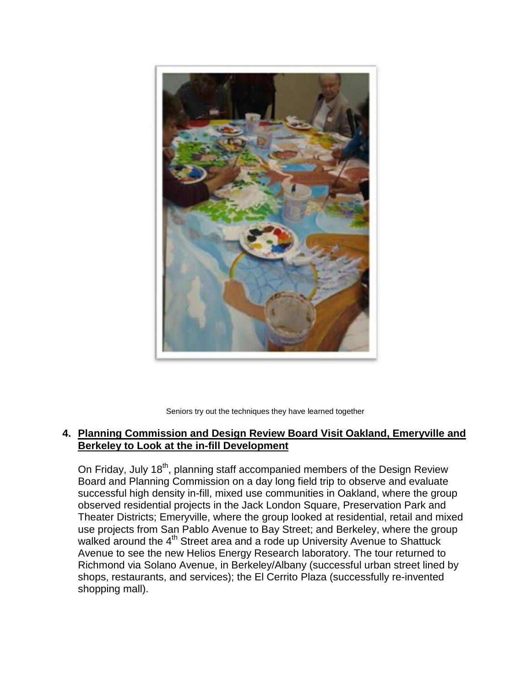

Seniors try out the techniques they have learned together

#### **4. Planning Commission and Design Review Board Visit Oakland, Emeryville and Berkeley to Look at the in-fill Development**

On Friday, July 18<sup>th</sup>, planning staff accompanied members of the Design Review Board and Planning Commission on a day long field trip to observe and evaluate successful high density in-fill, mixed use communities in Oakland, where the group observed residential projects in the Jack London Square, Preservation Park and Theater Districts; Emeryville, where the group looked at residential, retail and mixed use projects from San Pablo Avenue to Bay Street; and Berkeley, where the group walked around the 4<sup>th</sup> Street area and a rode up University Avenue to Shattuck Avenue to see the new Helios Energy Research laboratory. The tour returned to Richmond via Solano Avenue, in Berkeley/Albany (successful urban street lined by shops, restaurants, and services); the El Cerrito Plaza (successfully re-invented shopping mall).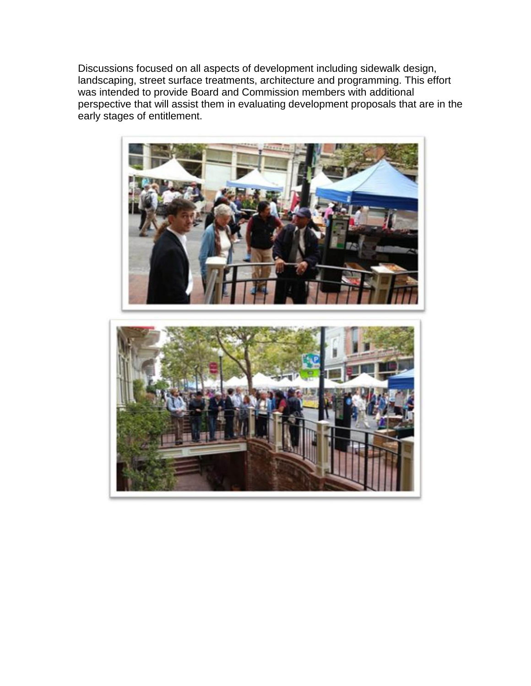Discussions focused on all aspects of development including sidewalk design, landscaping, street surface treatments, architecture and programming. This effort was intended to provide Board and Commission members with additional perspective that will assist them in evaluating development proposals that are in the early stages of entitlement.

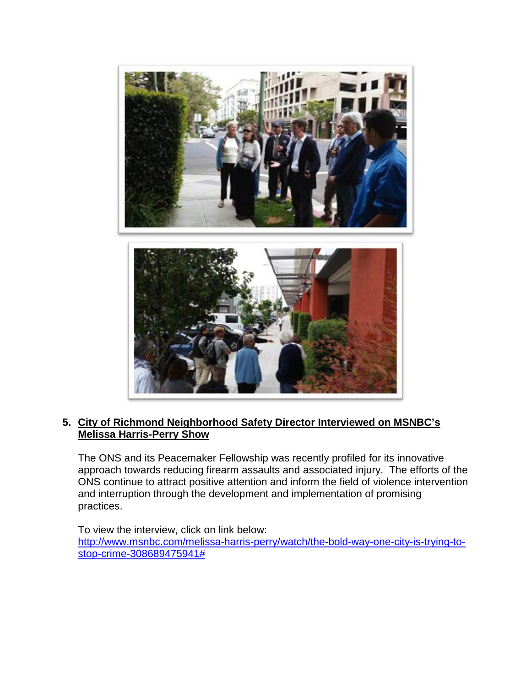

#### **5. City of Richmond Neighborhood Safety Director Interviewed on MSNBC's Melissa Harris-Perry Show**

The ONS and its Peacemaker Fellowship was recently profiled for its innovative approach towards reducing firearm assaults and associated injury. The efforts of the ONS continue to attract positive attention and inform the field of violence intervention and interruption through the development and implementation of promising practices.

To view the interview, click on link below: [http://www.msnbc.com/melissa-harris-perry/watch/the-bold-way-one-city-is-trying-to](http://www.msnbc.com/melissa-harris-perry/watch/the-bold-way-one-city-is-trying-to-stop-crime-308689475941)[stop-crime-308689475941#](http://www.msnbc.com/melissa-harris-perry/watch/the-bold-way-one-city-is-trying-to-stop-crime-308689475941)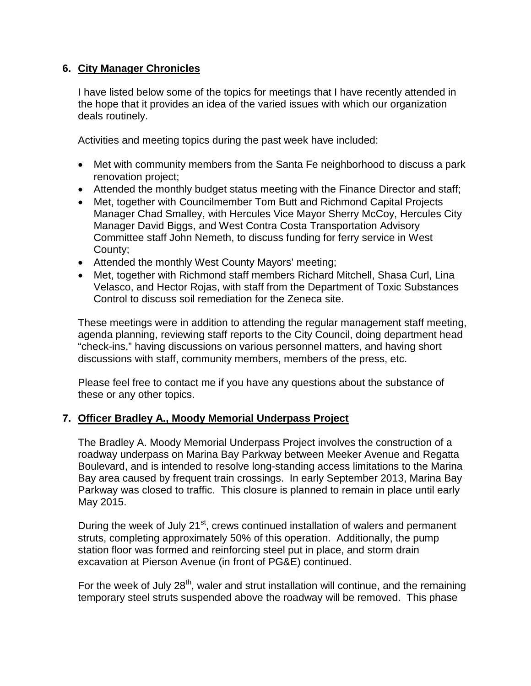## **6. City Manager Chronicles**

I have listed below some of the topics for meetings that I have recently attended in the hope that it provides an idea of the varied issues with which our organization deals routinely.

Activities and meeting topics during the past week have included:

- Met with community members from the Santa Fe neighborhood to discuss a park renovation project;
- Attended the monthly budget status meeting with the Finance Director and staff;
- Met, together with Councilmember Tom Butt and Richmond Capital Projects Manager Chad Smalley, with Hercules Vice Mayor Sherry McCoy, Hercules City Manager David Biggs, and West Contra Costa Transportation Advisory Committee staff John Nemeth, to discuss funding for ferry service in West County;
- Attended the monthly West County Mayors' meeting;
- Met, together with Richmond staff members Richard Mitchell, Shasa Curl, Lina Velasco, and Hector Rojas, with staff from the Department of Toxic Substances Control to discuss soil remediation for the Zeneca site.

These meetings were in addition to attending the regular management staff meeting, agenda planning, reviewing staff reports to the City Council, doing department head "check-ins," having discussions on various personnel matters, and having short discussions with staff, community members, members of the press, etc.

Please feel free to contact me if you have any questions about the substance of these or any other topics.

## **7. Officer Bradley A., Moody Memorial Underpass Project**

The Bradley A. Moody Memorial Underpass Project involves the construction of a roadway underpass on Marina Bay Parkway between Meeker Avenue and Regatta Boulevard, and is intended to resolve long-standing access limitations to the Marina Bay area caused by frequent train crossings. In early September 2013, Marina Bay Parkway was closed to traffic. This closure is planned to remain in place until early May 2015.

During the week of July 21<sup>st</sup>, crews continued installation of walers and permanent struts, completing approximately 50% of this operation. Additionally, the pump station floor was formed and reinforcing steel put in place, and storm drain excavation at Pierson Avenue (in front of PG&E) continued.

For the week of July 28<sup>th</sup>, waler and strut installation will continue, and the remaining temporary steel struts suspended above the roadway will be removed. This phase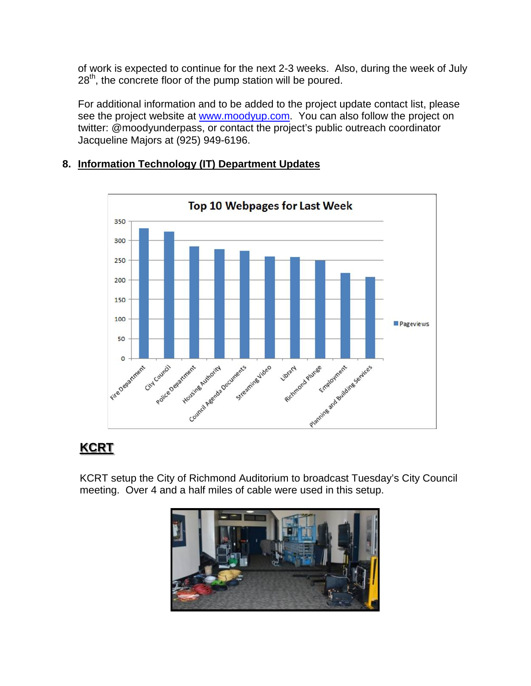of work is expected to continue for the next 2-3 weeks. Also, during the week of July  $28<sup>th</sup>$ , the concrete floor of the pump station will be poured.

For additional information and to be added to the project update contact list, please see the project website at [www.moodyup.com.](http://www.moodyup.com/) You can also follow the project on twitter: @moodyunderpass, or contact the project's public outreach coordinator Jacqueline Majors at (925) 949-6196.

#### **Top 10 Webpages for Last Week** 350 300 250 200 150 100 Pageviews 50 Housing Automatic Security Stream ing and outdine services Police Degardness N Houstine Buttonia D  $\circ$ Streaming Video Richmond Plumee City Council Fire Detartment Flumee Employment Library Planning

## **8. Information Technology (IT) Department Updates**

# **KCRT**

KCRT setup the City of Richmond Auditorium to broadcast Tuesday's City Council meeting. Over 4 and a half miles of cable were used in this setup.

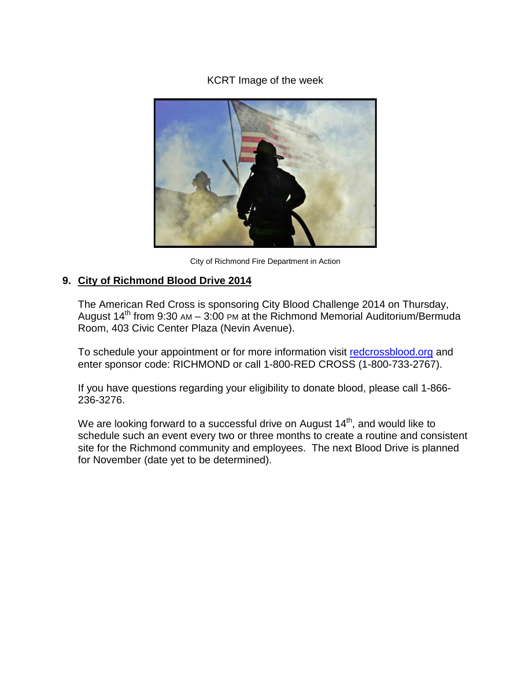### KCRT Image of the week



City of Richmond Fire Department in Action

## **9. City of Richmond Blood Drive 2014**

The American Red Cross is sponsoring City Blood Challenge 2014 on Thursday, August  $14<sup>th</sup>$  from 9:30 AM – 3:00 PM at the Richmond Memorial Auditorium/Bermuda Room, 403 Civic Center Plaza (Nevin Avenue).

To schedule your appointment or for more information visit redcrossblood.org and enter sponsor code: RICHMOND or call 1-800-RED CROSS (1-800-733-2767).

If you have questions regarding your eligibility to donate blood, please call 1-866- 236-3276.

We are looking forward to a successful drive on August  $14<sup>th</sup>$ , and would like to schedule such an event every two or three months to create a routine and consistent site for the Richmond community and employees. The next Blood Drive is planned for November (date yet to be determined).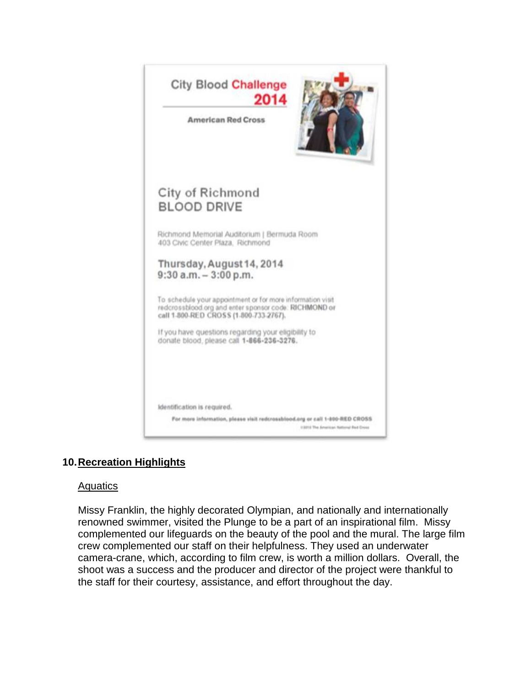

## **10.Recreation Highlights**

#### Aquatics

Missy Franklin, the highly decorated Olympian, and nationally and internationally renowned swimmer, visited the Plunge to be a part of an inspirational film. Missy complemented our lifeguards on the beauty of the pool and the mural. The large film crew complemented our staff on their helpfulness. They used an underwater camera-crane, which, according to film crew, is worth a million dollars. Overall, the shoot was a success and the producer and director of the project were thankful to the staff for their courtesy, assistance, and effort throughout the day.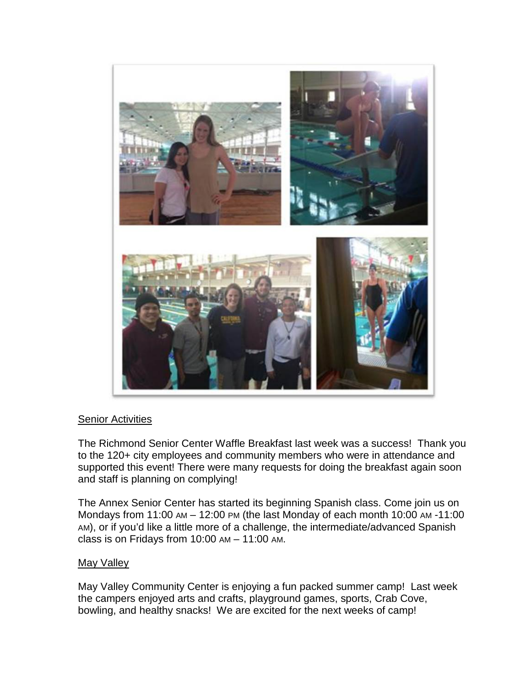

#### Senior Activities

The Richmond Senior Center Waffle Breakfast last week was a success! Thank you to the 120+ city employees and community members who were in attendance and supported this event! There were many requests for doing the breakfast again soon and staff is planning on complying!

The Annex Senior Center has started its beginning Spanish class. Come join us on Mondays from 11:00 AM – 12:00 PM (the last Monday of each month 10:00 AM -11:00 AM), or if you'd like a little more of a challenge, the intermediate/advanced Spanish class is on Fridays from 10:00 AM – 11:00 AM.

#### May Valley

May Valley Community Center is enjoying a fun packed summer camp! Last week the campers enjoyed arts and crafts, playground games, sports, Crab Cove, bowling, and healthy snacks! We are excited for the next weeks of camp!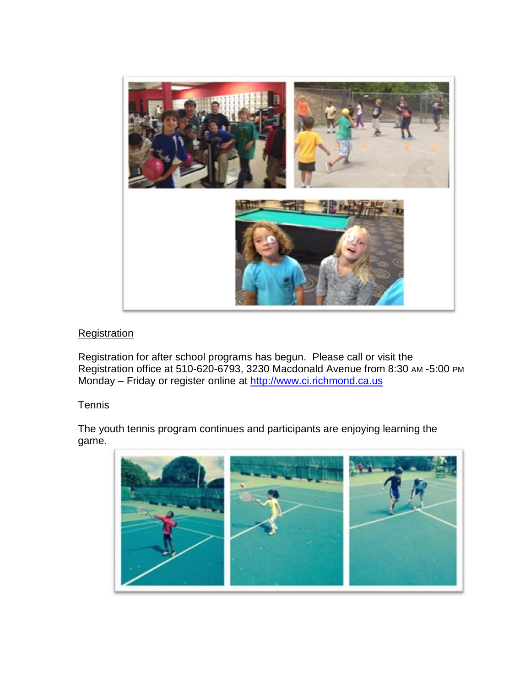

## **Registration**

Registration for after school programs has begun. Please call or visit the Registration office at 510-620-6793, 3230 Macdonald Avenue from 8:30 AM -5:00 PM Monday – Friday or register online at [http://www.ci.richmond.ca.us](http://www.ci.richmond.ca.us/)

#### **Tennis**

The youth tennis program continues and participants are enjoying learning the game.

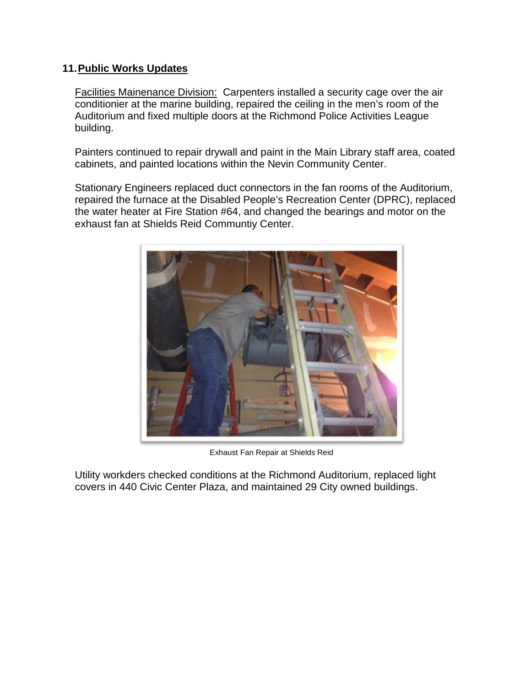#### **11.Public Works Updates**

Facilities Mainenance Division: Carpenters installed a security cage over the air conditionier at the marine building, repaired the ceiling in the men's room of the Auditorium and fixed multiple doors at the Richmond Police Activities League building.

Painters continued to repair drywall and paint in the Main Library staff area, coated cabinets, and painted locations within the Nevin Community Center.

Stationary Engineers replaced duct connectors in the fan rooms of the Auditorium, repaired the furnace at the Disabled People's Recreation Center (DPRC), replaced the water heater at Fire Station #64, and changed the bearings and motor on the exhaust fan at Shields Reid Communtiy Center.



Exhaust Fan Repair at Shields Reid

Utility workders checked conditions at the Richmond Auditorium, replaced light covers in 440 Civic Center Plaza, and maintained 29 City owned buildings.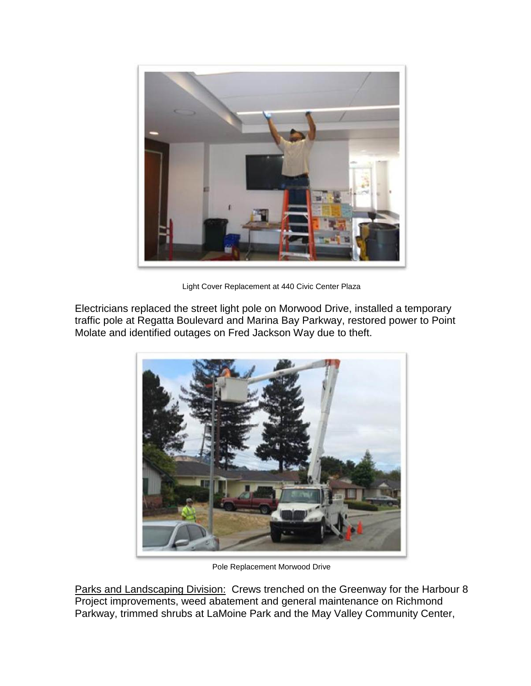

Light Cover Replacement at 440 Civic Center Plaza

Electricians replaced the street light pole on Morwood Drive, installed a temporary traffic pole at Regatta Boulevard and Marina Bay Parkway, restored power to Point Molate and identified outages on Fred Jackson Way due to theft.



Pole Replacement Morwood Drive

Parks and Landscaping Division: Crews trenched on the Greenway for the Harbour 8 Project improvements, weed abatement and general maintenance on Richmond Parkway, trimmed shrubs at LaMoine Park and the May Valley Community Center,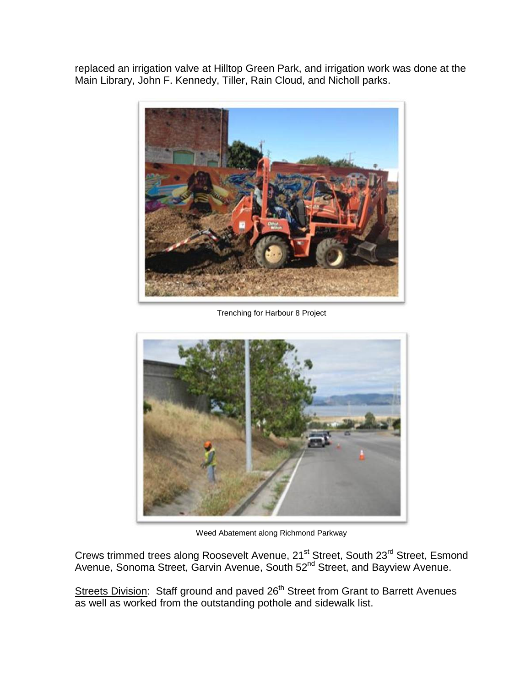replaced an irrigation valve at Hilltop Green Park, and irrigation work was done at the Main Library, John F. Kennedy, Tiller, Rain Cloud, and Nicholl parks.



Trenching for Harbour 8 Project



Weed Abatement along Richmond Parkway

Crews trimmed trees along Roosevelt Avenue, 21<sup>st</sup> Street, South 23<sup>rd</sup> Street, Esmond Avenue, Sonoma Street, Garvin Avenue, South 52<sup>nd</sup> Street, and Bayview Avenue.

Streets Division: Staff ground and paved 26<sup>th</sup> Street from Grant to Barrett Avenues as well as worked from the outstanding pothole and sidewalk list.